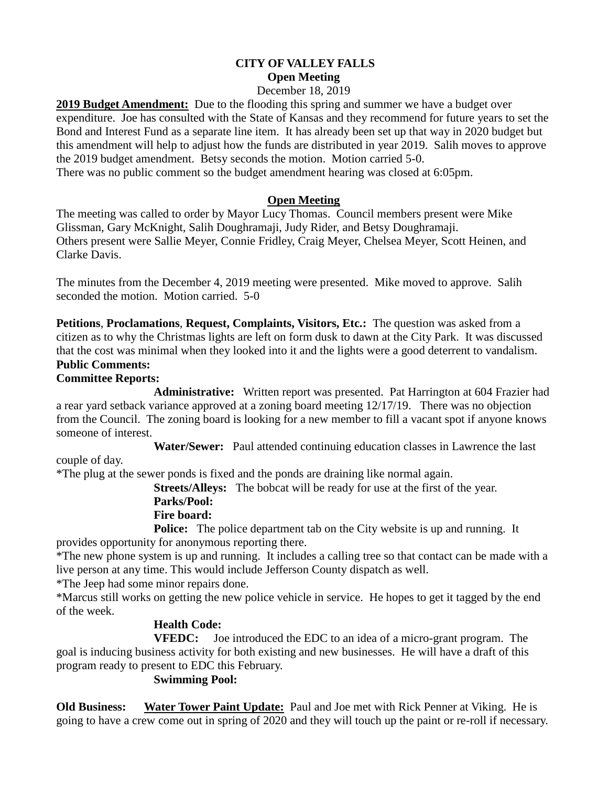#### **CITY OF VALLEY FALLS Open Meeting** December 18, 2019

**2019 Budget Amendment:** Due to the flooding this spring and summer we have a budget over expenditure. Joe has consulted with the State of Kansas and they recommend for future years to set the Bond and Interest Fund as a separate line item. It has already been set up that way in 2020 budget but this amendment will help to adjust how the funds are distributed in year 2019. Salih moves to approve the 2019 budget amendment. Betsy seconds the motion. Motion carried 5-0. There was no public comment so the budget amendment hearing was closed at 6:05pm.

## **Open Meeting**

The meeting was called to order by Mayor Lucy Thomas. Council members present were Mike Glissman, Gary McKnight, Salih Doughramaji, Judy Rider, and Betsy Doughramaji. Others present were Sallie Meyer, Connie Fridley, Craig Meyer, Chelsea Meyer, Scott Heinen, and Clarke Davis.

The minutes from the December 4, 2019 meeting were presented. Mike moved to approve. Salih seconded the motion. Motion carried. 5-0

**Petitions**, **Proclamations**, **Request, Complaints, Visitors, Etc.:** The question was asked from a citizen as to why the Christmas lights are left on form dusk to dawn at the City Park. It was discussed that the cost was minimal when they looked into it and the lights were a good deterrent to vandalism.

# **Public Comments:**

**Committee Reports:**

**Administrative:** Written report was presented. Pat Harrington at 604 Frazier had a rear yard setback variance approved at a zoning board meeting 12/17/19. There was no objection from the Council. The zoning board is looking for a new member to fill a vacant spot if anyone knows someone of interest.

**Water/Sewer:** Paul attended continuing education classes in Lawrence the last

couple of day.

\*The plug at the sewer ponds is fixed and the ponds are draining like normal again.

**Streets/Alleys:** The bobcat will be ready for use at the first of the year. **Parks/Pool:**

#### **Fire board:**

**Police:** The police department tab on the City website is up and running. It provides opportunity for anonymous reporting there.

\*The new phone system is up and running. It includes a calling tree so that contact can be made with a live person at any time. This would include Jefferson County dispatch as well.

\*The Jeep had some minor repairs done.

\*Marcus still works on getting the new police vehicle in service. He hopes to get it tagged by the end of the week.

## **Health Code:**

**VFEDC:** Joe introduced the EDC to an idea of a micro-grant program. The goal is inducing business activity for both existing and new businesses. He will have a draft of this program ready to present to EDC this February.

## **Swimming Pool:**

**Old Business: Water Tower Paint Update:** Paul and Joe met with Rick Penner at Viking. He is going to have a crew come out in spring of 2020 and they will touch up the paint or re-roll if necessary.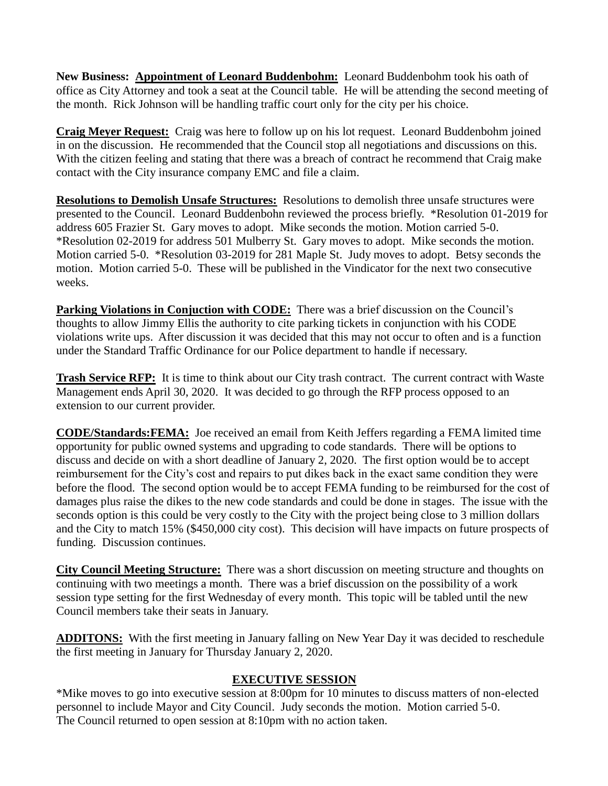**New Business: Appointment of Leonard Buddenbohm:** Leonard Buddenbohm took his oath of office as City Attorney and took a seat at the Council table. He will be attending the second meeting of the month. Rick Johnson will be handling traffic court only for the city per his choice.

**Craig Meyer Request:** Craig was here to follow up on his lot request. Leonard Buddenbohm joined in on the discussion. He recommended that the Council stop all negotiations and discussions on this. With the citizen feeling and stating that there was a breach of contract he recommend that Craig make contact with the City insurance company EMC and file a claim.

**Resolutions to Demolish Unsafe Structures:** Resolutions to demolish three unsafe structures were presented to the Council. Leonard Buddenbohn reviewed the process briefly. \*Resolution 01-2019 for address 605 Frazier St. Gary moves to adopt. Mike seconds the motion. Motion carried 5-0. \*Resolution 02-2019 for address 501 Mulberry St. Gary moves to adopt. Mike seconds the motion. Motion carried 5-0. \*Resolution 03-2019 for 281 Maple St. Judy moves to adopt. Betsy seconds the motion. Motion carried 5-0. These will be published in the Vindicator for the next two consecutive weeks.

**Parking Violations in Conjuction with CODE:** There was a brief discussion on the Council's thoughts to allow Jimmy Ellis the authority to cite parking tickets in conjunction with his CODE violations write ups. After discussion it was decided that this may not occur to often and is a function under the Standard Traffic Ordinance for our Police department to handle if necessary.

**Trash Service RFP:** It is time to think about our City trash contract. The current contract with Waste Management ends April 30, 2020. It was decided to go through the RFP process opposed to an extension to our current provider.

**CODE/Standards:FEMA:** Joe received an email from Keith Jeffers regarding a FEMA limited time opportunity for public owned systems and upgrading to code standards. There will be options to discuss and decide on with a short deadline of January 2, 2020. The first option would be to accept reimbursement for the City's cost and repairs to put dikes back in the exact same condition they were before the flood. The second option would be to accept FEMA funding to be reimbursed for the cost of damages plus raise the dikes to the new code standards and could be done in stages. The issue with the seconds option is this could be very costly to the City with the project being close to 3 million dollars and the City to match 15% (\$450,000 city cost). This decision will have impacts on future prospects of funding. Discussion continues.

**City Council Meeting Structure:** There was a short discussion on meeting structure and thoughts on continuing with two meetings a month. There was a brief discussion on the possibility of a work session type setting for the first Wednesday of every month. This topic will be tabled until the new Council members take their seats in January.

**ADDITONS:** With the first meeting in January falling on New Year Day it was decided to reschedule the first meeting in January for Thursday January 2, 2020.

## **EXECUTIVE SESSION**

\*Mike moves to go into executive session at 8:00pm for 10 minutes to discuss matters of non-elected personnel to include Mayor and City Council. Judy seconds the motion. Motion carried 5-0. The Council returned to open session at 8:10pm with no action taken.